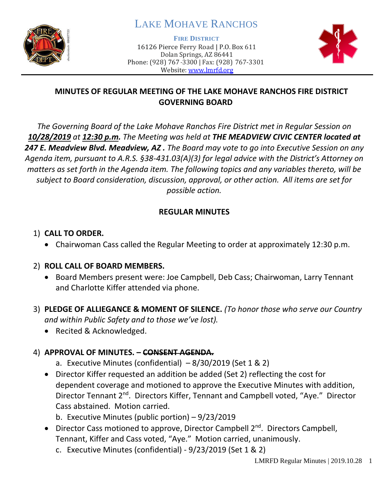

# LAKE MOHAVE RANCHOS

**FIRE DISTRICT**

16126 Pierce Ferry Road | P.O. Box 611 Dolan Springs, AZ 86441 Phone: (928) 767-3300 | Fax: (928) 767-3301 Website: [www.lmrfd.org](http://www.lmrfd.org/)



### **MINUTES OF REGULAR MEETING OF THE LAKE MOHAVE RANCHOS FIRE DISTRICT GOVERNING BOARD**

*The Governing Board of the Lake Mohave Ranchos Fire District met in Regular Session on 10/28/2019 at 12:30 p.m. The Meeting was held at THE MEADVIEW CIVIC CENTER located at 247 E. Meadview Blvd. Meadview, AZ . The Board may vote to go into Executive Session on any Agenda item, pursuant to A.R.S. §38-431.03(A)(3) for legal advice with the District's Attorney on matters as set forth in the Agenda item. The following topics and any variables thereto, will be subject to Board consideration, discussion, approval, or other action. All items are set for possible action.* 

### **REGULAR MINUTES**

### 1) **CALL TO ORDER.**

• Chairwoman Cass called the Regular Meeting to order at approximately 12:30 p.m.

### 2) **ROLL CALL OF BOARD MEMBERS.**

- Board Members present were: Joe Campbell, Deb Cass; Chairwoman, Larry Tennant and Charlotte Kiffer attended via phone.
- 3) **PLEDGE OF ALLIEGANCE & MOMENT OF SILENCE.** *(To honor those who serve our Country and within Public Safety and to those we've lost).*
	- Recited & Acknowledged.

# 4) **APPROVAL OF MINUTES. – CONSENT AGENDA.**

- a. Executive Minutes (confidential)  $-8/30/2019$  (Set 1 & 2)
- Director Kiffer requested an addition be added (Set 2) reflecting the cost for dependent coverage and motioned to approve the Executive Minutes with addition, Director Tennant 2<sup>nd</sup>. Directors Kiffer, Tennant and Campbell voted, "Aye." Director Cass abstained. Motion carried.
	- b. Executive Minutes (public portion) 9/23/2019
- Director Cass motioned to approve, Director Campbell 2<sup>nd</sup>. Directors Campbell, Tennant, Kiffer and Cass voted, "Aye." Motion carried, unanimously.
	- c. Executive Minutes (confidential) 9/23/2019 (Set 1 & 2)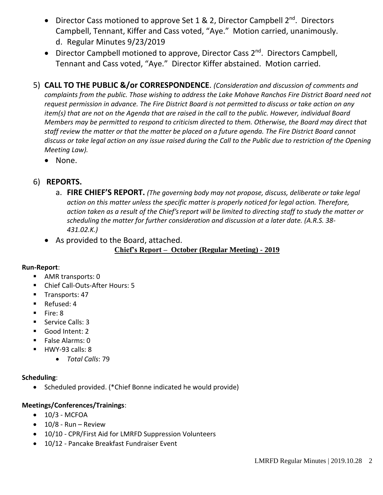- Director Cass motioned to approve Set 1 & 2, Director Campbell  $2^{nd}$ . Directors Campbell, Tennant, Kiffer and Cass voted, "Aye." Motion carried, unanimously. d. Regular Minutes 9/23/2019
- Director Campbell motioned to approve, Director Cass 2<sup>nd</sup>. Directors Campbell, Tennant and Cass voted, "Aye." Director Kiffer abstained. Motion carried.
- 5) **CALL TO THE PUBLIC &/or CORRESPONDENCE**. *(Consideration and discussion of comments and complaints from the public. Those wishing to address the Lake Mohave Ranchos Fire District Board need not request permission in advance. The Fire District Board is not permitted to discuss or take action on any item(s) that are not on the Agenda that are raised in the call to the public. However, individual Board Members may be permitted to respond to criticism directed to them. Otherwise, the Board may direct that staff review the matter or that the matter be placed on a future agenda. The Fire District Board cannot discuss or take legal action on any issue raised during the Call to the Public due to restriction of the Opening Meeting Law).*
	- None.

### 6) **REPORTS.**

- a. **FIRE CHIEF'S REPORT.** *(The governing body may not propose, discuss, deliberate or take legal action on this matter unless the specific matter is properly noticed for legal action. Therefore, action taken as a result of the Chief's report will be limited to directing staff to study the matter or scheduling the matter for further consideration and discussion at a later date. (A.R.S. 38- 431.02.K.)*
- As provided to the Board, attached.

**Chief's Report – October (Regular Meeting) - 2019**

#### **Run-Report**:

- AMR transports: 0
- Chief Call-Outs-After Hours: 5
- Transports: 47
- Refused: 4
- Fire: 8
- Service Calls: 3
- Good Intent: 2
- False Alarms: 0
- HWY-93 calls: 8
	- *Total Calls*: 79

#### **Scheduling**:

• Scheduled provided. (\*Chief Bonne indicated he would provide)

#### **Meetings/Conferences/Trainings**:

- $\bullet$  10/3 MCFOA
- $\bullet$  10/8 Run Review
- 10/10 CPR/First Aid for LMRFD Suppression Volunteers
- 10/12 Pancake Breakfast Fundraiser Event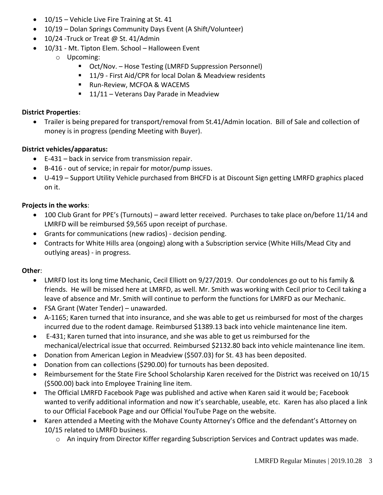- 10/15 Vehicle Live Fire Training at St. 41
- 10/19 Dolan Springs Community Days Event (A Shift/Volunteer)
- 10/24 Truck or Treat @ St. 41/Admin
- 10/31 Mt. Tipton Elem. School Halloween Event
	- o Upcoming:
		- Oct/Nov. Hose Testing (LMRFD Suppression Personnel)
		- 11/9 First Aid/CPR for local Dolan & Meadview residents
		- Run-Review, MCFOA & WACEMS
		- $\blacksquare$  11/11 Veterans Day Parade in Meadview

#### **District Properties**:

• Trailer is being prepared for transport/removal from St.41/Admin location. Bill of Sale and collection of money is in progress (pending Meeting with Buyer).

#### **District vehicles/apparatus:**

- E-431 back in service from transmission repair.
- B-416 out of service; in repair for motor/pump issues.
- U-419 Support Utility Vehicle purchased from BHCFD is at Discount Sign getting LMRFD graphics placed on it.

#### **Projects in the works**:

- 100 Club Grant for PPE's (Turnouts) award letter received. Purchases to take place on/before 11/14 and LMRFD will be reimbursed \$9,565 upon receipt of purchase.
- Grants for communications (new radios) decision pending.
- Contracts for White Hills area (ongoing) along with a Subscription service (White Hills/Mead City and outlying areas) - in progress.

#### **Other**:

- LMRFD lost its long time Mechanic, Cecil Elliott on 9/27/2019. Our condolences go out to his family & friends. He will be missed here at LMRFD, as well. Mr. Smith was working with Cecil prior to Cecil taking a leave of absence and Mr. Smith will continue to perform the functions for LMRFD as our Mechanic.
- FSA Grant (Water Tender) unawarded.
- A-1165; Karen turned that into insurance, and she was able to get us reimbursed for most of the charges incurred due to the rodent damage. Reimbursed \$1389.13 back into vehicle maintenance line item.
- E-431; Karen turned that into insurance, and she was able to get us reimbursed for the mechanical/electrical issue that occurred. Reimbursed \$2132.80 back into vehicle maintenance line item.
- Donation from American Legion in Meadview (\$507.03) for St. 43 has been deposited.
- Donation from can collections (\$290.00) for turnouts has been deposited.
- Reimbursement for the State Fire School Scholarship Karen received for the District was received on 10/15 (\$500.00) back into Employee Training line item.
- The Official LMRFD Facebook Page was published and active when Karen said it would be; Facebook wanted to verify additional information and now it's searchable, useable, etc. Karen has also placed a link to our Official Facebook Page and our Official YouTube Page on the website.
- Karen attended a Meeting with the Mohave County Attorney's Office and the defendant's Attorney on 10/15 related to LMRFD business.
	- o An inquiry from Director Kiffer regarding Subscription Services and Contract updates was made.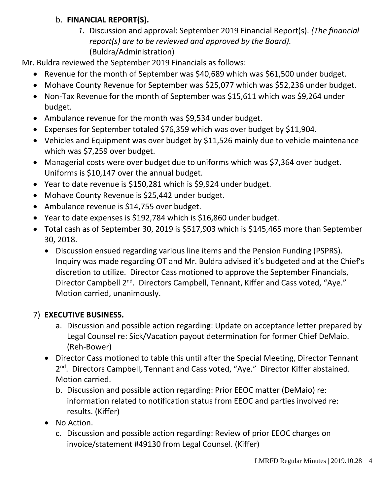### b. **FINANCIAL REPORT(S).**

*1.* Discussion and approval: September 2019 Financial Report(s). *(The financial report(s) are to be reviewed and approved by the Board).* (Buldra/Administration)

Mr. Buldra reviewed the September 2019 Financials as follows:

- Revenue for the month of September was \$40,689 which was \$61,500 under budget.
- Mohave County Revenue for September was \$25,077 which was \$52,236 under budget.
- Non-Tax Revenue for the month of September was \$15,611 which was \$9,264 under budget.
- Ambulance revenue for the month was \$9,534 under budget.
- Expenses for September totaled \$76,359 which was over budget by \$11,904.
- Vehicles and Equipment was over budget by \$11,526 mainly due to vehicle maintenance which was \$7,259 over budget.
- Managerial costs were over budget due to uniforms which was \$7,364 over budget. Uniforms is \$10,147 over the annual budget.
- Year to date revenue is \$150,281 which is \$9,924 under budget.
- Mohave County Revenue is \$25,442 under budget.
- Ambulance revenue is \$14,755 over budget.
- Year to date expenses is \$192,784 which is \$16,860 under budget.
- Total cash as of September 30, 2019 is \$517,903 which is \$145,465 more than September 30, 2018.
	- Discussion ensued regarding various line items and the Pension Funding (PSPRS). Inquiry was made regarding OT and Mr. Buldra advised it's budgeted and at the Chief's discretion to utilize. Director Cass motioned to approve the September Financials, Director Campbell 2<sup>nd</sup>. Directors Campbell, Tennant, Kiffer and Cass voted, "Aye." Motion carried, unanimously.

### 7) **EXECUTIVE BUSINESS.**

- a. Discussion and possible action regarding: Update on acceptance letter prepared by Legal Counsel re: Sick/Vacation payout determination for former Chief DeMaio. (Reh-Bower)
- Director Cass motioned to table this until after the Special Meeting, Director Tennant 2<sup>nd</sup>. Directors Campbell, Tennant and Cass voted, "Aye." Director Kiffer abstained. Motion carried.
	- b. Discussion and possible action regarding: Prior EEOC matter (DeMaio) re: information related to notification status from EEOC and parties involved re: results. (Kiffer)
- No Action.
	- c. Discussion and possible action regarding: Review of prior EEOC charges on invoice/statement #49130 from Legal Counsel. (Kiffer)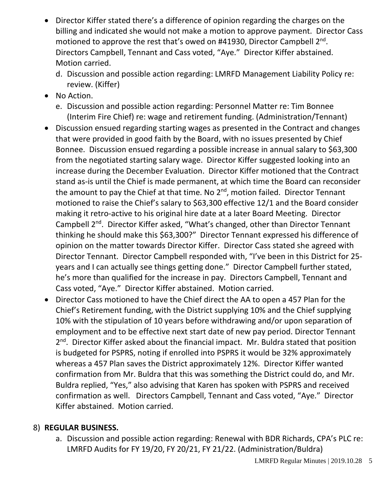- Director Kiffer stated there's a difference of opinion regarding the charges on the billing and indicated she would not make a motion to approve payment. Director Cass motioned to approve the rest that's owed on #41930, Director Campbell 2<sup>nd</sup>. Directors Campbell, Tennant and Cass voted, "Aye." Director Kiffer abstained. Motion carried.
	- d. Discussion and possible action regarding: LMRFD Management Liability Policy re: review. (Kiffer)
- No Action.
	- e. Discussion and possible action regarding: Personnel Matter re: Tim Bonnee (Interim Fire Chief) re: wage and retirement funding. (Administration/Tennant)
- Discussion ensued regarding starting wages as presented in the Contract and changes that were provided in good faith by the Board, with no issues presented by Chief Bonnee. Discussion ensued regarding a possible increase in annual salary to \$63,300 from the negotiated starting salary wage. Director Kiffer suggested looking into an increase during the December Evaluation. Director Kiffer motioned that the Contract stand as-is until the Chief is made permanent, at which time the Board can reconsider the amount to pay the Chief at that time. No 2<sup>nd</sup>, motion failed. Director Tennant motioned to raise the Chief's salary to \$63,300 effective 12/1 and the Board consider making it retro-active to his original hire date at a later Board Meeting. Director Campbell 2<sup>nd</sup>. Director Kiffer asked, "What's changed, other than Director Tennant thinking he should make this \$63,300?" Director Tennant expressed his difference of opinion on the matter towards Director Kiffer. Director Cass stated she agreed with Director Tennant. Director Campbell responded with, "I've been in this District for 25 years and I can actually see things getting done." Director Campbell further stated, he's more than qualified for the increase in pay. Directors Campbell, Tennant and Cass voted, "Aye." Director Kiffer abstained. Motion carried.
- Director Cass motioned to have the Chief direct the AA to open a 457 Plan for the Chief's Retirement funding, with the District supplying 10% and the Chief supplying 10% with the stipulation of 10 years before withdrawing and/or upon separation of employment and to be effective next start date of new pay period. Director Tennant 2<sup>nd</sup>. Director Kiffer asked about the financial impact. Mr. Buldra stated that position is budgeted for PSPRS, noting if enrolled into PSPRS it would be 32% approximately whereas a 457 Plan saves the District approximately 12%. Director Kiffer wanted confirmation from Mr. Buldra that this was something the District could do, and Mr. Buldra replied, "Yes," also advising that Karen has spoken with PSPRS and received confirmation as well. Directors Campbell, Tennant and Cass voted, "Aye." Director Kiffer abstained. Motion carried.

### 8) **REGULAR BUSINESS.**

a. Discussion and possible action regarding: Renewal with BDR Richards, CPA's PLC re: LMRFD Audits for FY 19/20, FY 20/21, FY 21/22. (Administration/Buldra)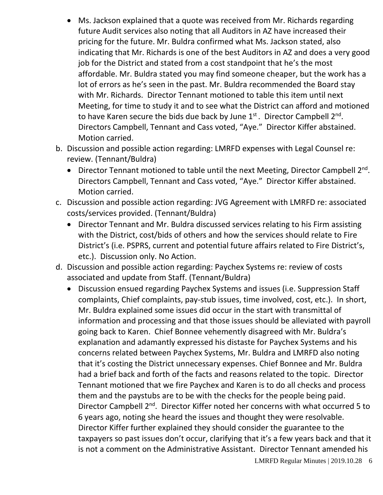- Ms. Jackson explained that a quote was received from Mr. Richards regarding future Audit services also noting that all Auditors in AZ have increased their pricing for the future. Mr. Buldra confirmed what Ms. Jackson stated, also indicating that Mr. Richards is one of the best Auditors in AZ and does a very good job for the District and stated from a cost standpoint that he's the most affordable. Mr. Buldra stated you may find someone cheaper, but the work has a lot of errors as he's seen in the past. Mr. Buldra recommended the Board stay with Mr. Richards. Director Tennant motioned to table this item until next Meeting, for time to study it and to see what the District can afford and motioned to have Karen secure the bids due back by June  $1<sup>st</sup>$ . Director Campbell  $2<sup>nd</sup>$ . Directors Campbell, Tennant and Cass voted, "Aye." Director Kiffer abstained. Motion carried.
- b. Discussion and possible action regarding: LMRFD expenses with Legal Counsel re: review. (Tennant/Buldra)
	- Director Tennant motioned to table until the next Meeting, Director Campbell 2<sup>nd</sup>. Directors Campbell, Tennant and Cass voted, "Aye." Director Kiffer abstained. Motion carried.
- c. Discussion and possible action regarding: JVG Agreement with LMRFD re: associated costs/services provided. (Tennant/Buldra)
	- Director Tennant and Mr. Buldra discussed services relating to his Firm assisting with the District, cost/bids of others and how the services should relate to Fire District's (i.e. PSPRS, current and potential future affairs related to Fire District's, etc.). Discussion only. No Action.
- d. Discussion and possible action regarding: Paychex Systems re: review of costs associated and update from Staff. (Tennant/Buldra)
	- Discussion ensued regarding Paychex Systems and issues (i.e. Suppression Staff complaints, Chief complaints, pay-stub issues, time involved, cost, etc.). In short, Mr. Buldra explained some issues did occur in the start with transmittal of information and processing and that those issues should be alleviated with payroll going back to Karen. Chief Bonnee vehemently disagreed with Mr. Buldra's explanation and adamantly expressed his distaste for Paychex Systems and his concerns related between Paychex Systems, Mr. Buldra and LMRFD also noting that it's costing the District unnecessary expenses. Chief Bonnee and Mr. Buldra had a brief back and forth of the facts and reasons related to the topic. Director Tennant motioned that we fire Paychex and Karen is to do all checks and process them and the paystubs are to be with the checks for the people being paid. Director Campbell 2<sup>nd</sup>. Director Kiffer noted her concerns with what occurred 5 to 6 years ago, noting she heard the issues and thought they were resolvable. Director Kiffer further explained they should consider the guarantee to the taxpayers so past issues don't occur, clarifying that it's a few years back and that it is not a comment on the Administrative Assistant. Director Tennant amended his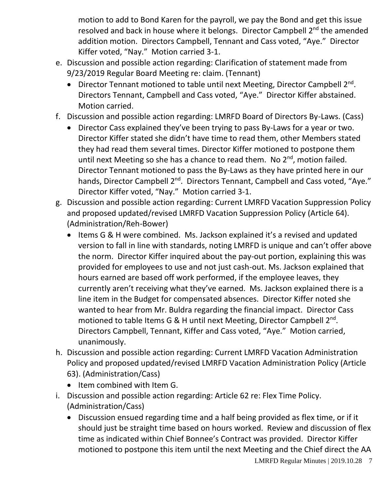motion to add to Bond Karen for the payroll, we pay the Bond and get this issue resolved and back in house where it belongs. Director Campbell 2<sup>nd</sup> the amended addition motion. Directors Campbell, Tennant and Cass voted, "Aye." Director Kiffer voted, "Nay." Motion carried 3-1.

- e. Discussion and possible action regarding: Clarification of statement made from 9/23/2019 Regular Board Meeting re: claim. (Tennant)
	- Director Tennant motioned to table until next Meeting, Director Campbell 2<sup>nd</sup>. Directors Tennant, Campbell and Cass voted, "Aye." Director Kiffer abstained. Motion carried.
- f. Discussion and possible action regarding: LMRFD Board of Directors By-Laws. (Cass)
	- Director Cass explained they've been trying to pass By-Laws for a year or two. Director Kiffer stated she didn't have time to read them, other Members stated they had read them several times. Director Kiffer motioned to postpone them until next Meeting so she has a chance to read them. No  $2<sup>nd</sup>$ , motion failed. Director Tennant motioned to pass the By-Laws as they have printed here in our hands, Director Campbell 2<sup>nd</sup>. Directors Tennant, Campbell and Cass voted, "Aye." Director Kiffer voted, "Nay." Motion carried 3-1.
- g. Discussion and possible action regarding: Current LMRFD Vacation Suppression Policy and proposed updated/revised LMRFD Vacation Suppression Policy (Article 64). (Administration/Reh-Bower)
	- Items G & H were combined. Ms. Jackson explained it's a revised and updated version to fall in line with standards, noting LMRFD is unique and can't offer above the norm. Director Kiffer inquired about the pay-out portion, explaining this was provided for employees to use and not just cash-out. Ms. Jackson explained that hours earned are based off work performed, if the employee leaves, they currently aren't receiving what they've earned. Ms. Jackson explained there is a line item in the Budget for compensated absences. Director Kiffer noted she wanted to hear from Mr. Buldra regarding the financial impact. Director Cass motioned to table Items G & H until next Meeting, Director Campbell 2<sup>nd</sup>. Directors Campbell, Tennant, Kiffer and Cass voted, "Aye." Motion carried, unanimously.
- h. Discussion and possible action regarding: Current LMRFD Vacation Administration Policy and proposed updated/revised LMRFD Vacation Administration Policy (Article 63). (Administration/Cass)
	- Item combined with Item G.
- i. Discussion and possible action regarding: Article 62 re: Flex Time Policy. (Administration/Cass)
	- Discussion ensued regarding time and a half being provided as flex time, or if it should just be straight time based on hours worked. Review and discussion of flex time as indicated within Chief Bonnee's Contract was provided. Director Kiffer motioned to postpone this item until the next Meeting and the Chief direct the AA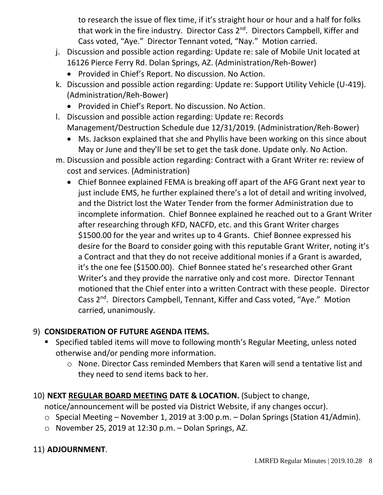to research the issue of flex time, if it's straight hour or hour and a half for folks that work in the fire industry. Director Cass 2<sup>nd</sup>. Directors Campbell, Kiffer and Cass voted, "Aye." Director Tennant voted, "Nay." Motion carried.

- j. Discussion and possible action regarding: Update re: sale of Mobile Unit located at 16126 Pierce Ferry Rd. Dolan Springs, AZ. (Administration/Reh-Bower)
	- Provided in Chief's Report. No discussion. No Action.
- k. Discussion and possible action regarding: Update re: Support Utility Vehicle (U-419). (Administration/Reh-Bower)
	- Provided in Chief's Report. No discussion. No Action.
- l. Discussion and possible action regarding: Update re: Records Management/Destruction Schedule due 12/31/2019. (Administration/Reh-Bower)
	- Ms. Jackson explained that she and Phyllis have been working on this since about May or June and they'll be set to get the task done. Update only. No Action.
- m. Discussion and possible action regarding: Contract with a Grant Writer re: review of cost and services. (Administration)
	- Chief Bonnee explained FEMA is breaking off apart of the AFG Grant next year to just include EMS, he further explained there's a lot of detail and writing involved, and the District lost the Water Tender from the former Administration due to incomplete information. Chief Bonnee explained he reached out to a Grant Writer after researching through KFD, NACFD, etc. and this Grant Writer charges \$1500.00 for the year and writes up to 4 Grants. Chief Bonnee expressed his desire for the Board to consider going with this reputable Grant Writer, noting it's a Contract and that they do not receive additional monies if a Grant is awarded, it's the one fee (\$1500.00). Chief Bonnee stated he's researched other Grant Writer's and they provide the narrative only and cost more. Director Tennant motioned that the Chief enter into a written Contract with these people. Director Cass 2<sup>nd</sup>. Directors Campbell, Tennant, Kiffer and Cass voted, "Aye." Motion carried, unanimously.

### 9) **CONSIDERATION OF FUTURE AGENDA ITEMS.**

- Specified tabled items will move to following month's Regular Meeting, unless noted otherwise and/or pending more information.
	- o None. Director Cass reminded Members that Karen will send a tentative list and they need to send items back to her.

# 10) **NEXT REGULAR BOARD MEETING DATE & LOCATION.** (Subject to change,

notice/announcement will be posted via District Website, if any changes occur).

- o Special Meeting November 1, 2019 at 3:00 p.m. Dolan Springs (Station 41/Admin).
- $\circ$  November 25, 2019 at 12:30 p.m. Dolan Springs, AZ.

# 11) **ADJOURNMENT**.